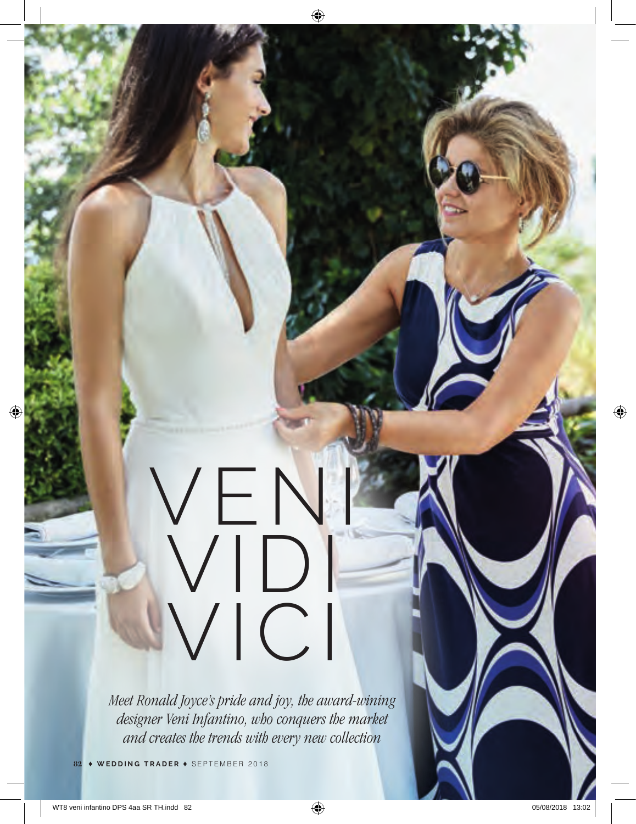# VEN VIDI VICI

*Meet Ronald Joyce's pride and joy, the award-wining designer Veni Infantino, who conquers the market and creates the trends with every new collection*